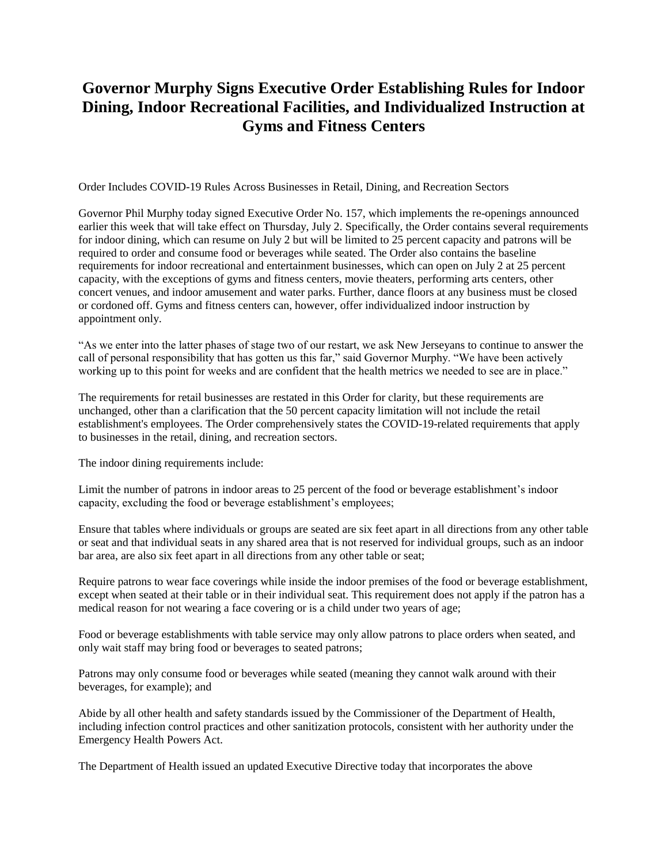## **Governor Murphy Signs Executive Order Establishing Rules for Indoor Dining, Indoor Recreational Facilities, and Individualized Instruction at Gyms and Fitness Centers**

Order Includes COVID-19 Rules Across Businesses in Retail, Dining, and Recreation Sectors

Governor Phil Murphy today signed Executive Order No. 157, which implements the re-openings announced earlier this week that will take effect on Thursday, July 2. Specifically, the Order contains several requirements for indoor dining, which can resume on July 2 but will be limited to 25 percent capacity and patrons will be required to order and consume food or beverages while seated. The Order also contains the baseline requirements for indoor recreational and entertainment businesses, which can open on July 2 at 25 percent capacity, with the exceptions of gyms and fitness centers, movie theaters, performing arts centers, other concert venues, and indoor amusement and water parks. Further, dance floors at any business must be closed or cordoned off. Gyms and fitness centers can, however, offer individualized indoor instruction by appointment only.

"As we enter into the latter phases of stage two of our restart, we ask New Jerseyans to continue to answer the call of personal responsibility that has gotten us this far," said Governor Murphy. "We have been actively working up to this point for weeks and are confident that the health metrics we needed to see are in place."

The requirements for retail businesses are restated in this Order for clarity, but these requirements are unchanged, other than a clarification that the 50 percent capacity limitation will not include the retail establishment's employees. The Order comprehensively states the COVID-19-related requirements that apply to businesses in the retail, dining, and recreation sectors.

The indoor dining requirements include:

Limit the number of patrons in indoor areas to 25 percent of the food or beverage establishment's indoor capacity, excluding the food or beverage establishment's employees;

Ensure that tables where individuals or groups are seated are six feet apart in all directions from any other table or seat and that individual seats in any shared area that is not reserved for individual groups, such as an indoor bar area, are also six feet apart in all directions from any other table or seat;

Require patrons to wear face coverings while inside the indoor premises of the food or beverage establishment, except when seated at their table or in their individual seat. This requirement does not apply if the patron has a medical reason for not wearing a face covering or is a child under two years of age;

Food or beverage establishments with table service may only allow patrons to place orders when seated, and only wait staff may bring food or beverages to seated patrons;

Patrons may only consume food or beverages while seated (meaning they cannot walk around with their beverages, for example); and

Abide by all other health and safety standards issued by the Commissioner of the Department of Health, including infection control practices and other sanitization protocols, consistent with her authority under the Emergency Health Powers Act.

The Department of Health issued an updated Executive Directive today that incorporates the above